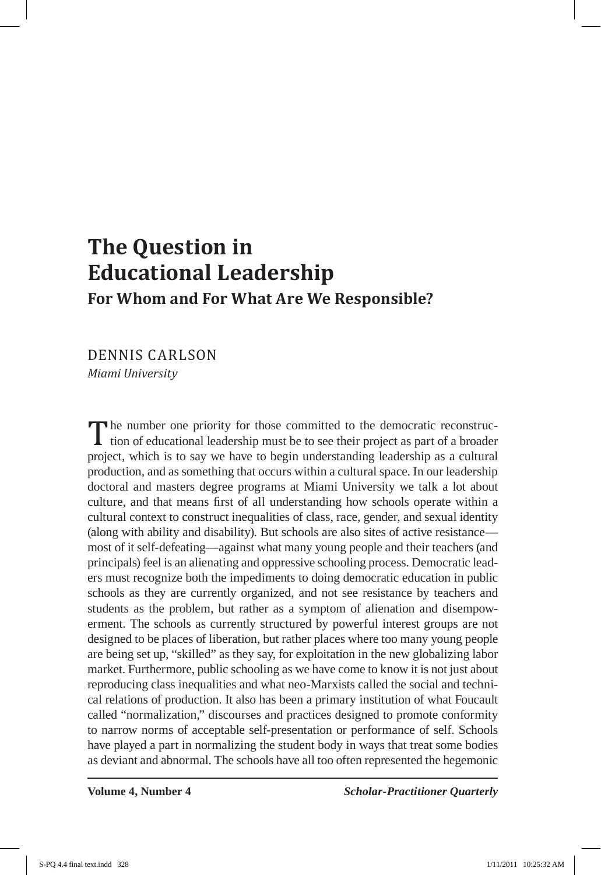## **The Question in Educational Leadership For Whom and For What Are We Responsible?**

DENNIS CARLSON *Miami University*

The number one priority for those committed to the democratic reconstruction of educational leadership must be to see their project as part of a broader project, which is to say we have to begin understanding leadership as a cultural production, and as something that occurs within a cultural space. In our leadership doctoral and masters degree programs at Miami University we talk a lot about culture, and that means first of all understanding how schools operate within a cultural context to construct inequalities of class, race, gender, and sexual identity (along with ability and disability). But schools are also sites of active resistance most of it self-defeating—against what many young people and their teachers (and principals) feel is an alienating and oppressive schooling process. Democratic leaders must recognize both the impediments to doing democratic education in public schools as they are currently organized, and not see resistance by teachers and students as the problem, but rather as a symptom of alienation and disempowerment. The schools as currently structured by powerful interest groups are not designed to be places of liberation, but rather places where too many young people are being set up, "skilled" as they say, for exploitation in the new globalizing labor market. Furthermore, public schooling as we have come to know it is not just about reproducing class inequalities and what neo-Marxists called the social and technical relations of production. It also has been a primary institution of what Foucault called "normalization," discourses and practices designed to promote conformity to narrow norms of acceptable self-presentation or performance of self. Schools have played a part in normalizing the student body in ways that treat some bodies as deviant and abnormal. The schools have all too often represented the hegemonic

**Volume 4, Number 4** *Scholar-Practitioner Quarterly*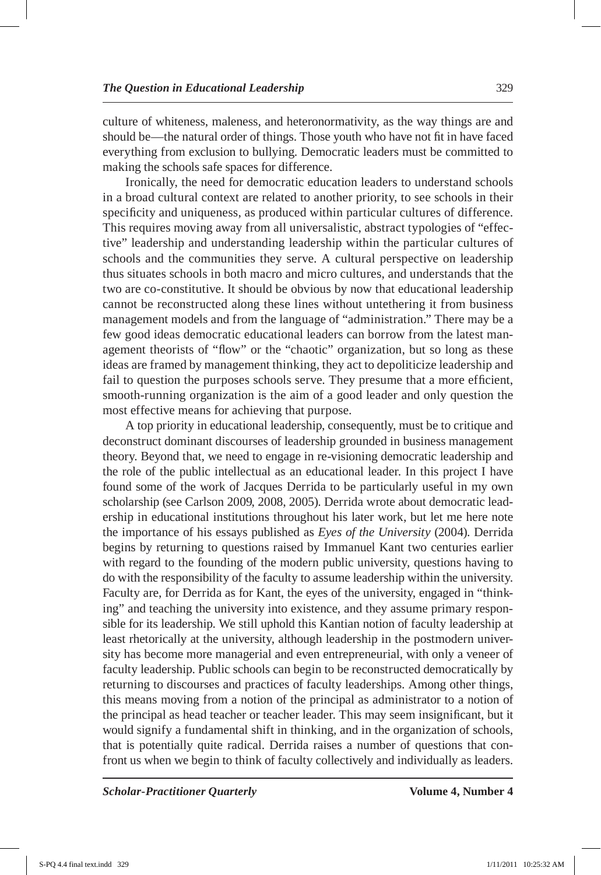culture of whiteness, maleness, and heteronormativity, as the way things are and should be—the natural order of things. Those youth who have not fit in have faced everything from exclusion to bullying. Democratic leaders must be committed to making the schools safe spaces for difference.

Ironically, the need for democratic education leaders to understand schools in a broad cultural context are related to another priority, to see schools in their specificity and uniqueness, as produced within particular cultures of difference. This requires moving away from all universalistic, abstract typologies of "effective" leadership and understanding leadership within the particular cultures of schools and the communities they serve. A cultural perspective on leadership thus situates schools in both macro and micro cultures, and understands that the two are co-constitutive. It should be obvious by now that educational leadership cannot be reconstructed along these lines without untethering it from business management models and from the language of "administration." There may be a few good ideas democratic educational leaders can borrow from the latest management theorists of "flow" or the "chaotic" organization, but so long as these ideas are framed by management thinking, they act to depoliticize leadership and fail to question the purposes schools serve. They presume that a more efficient, smooth-running organization is the aim of a good leader and only question the most effective means for achieving that purpose.

A top priority in educational leadership, consequently, must be to critique and deconstruct dominant discourses of leadership grounded in business management theory. Beyond that, we need to engage in re-visioning democratic leadership and the role of the public intellectual as an educational leader. In this project I have found some of the work of Jacques Derrida to be particularly useful in my own scholarship (see Carlson 2009, 2008, 2005). Derrida wrote about democratic leadership in educational institutions throughout his later work, but let me here note the importance of his essays published as *Eyes of the University* (2004). Derrida begins by returning to questions raised by Immanuel Kant two centuries earlier with regard to the founding of the modern public university, questions having to do with the responsibility of the faculty to assume leadership within the university. Faculty are, for Derrida as for Kant, the eyes of the university, engaged in "thinking" and teaching the university into existence, and they assume primary responsible for its leadership. We still uphold this Kantian notion of faculty leadership at least rhetorically at the university, although leadership in the postmodern university has become more managerial and even entrepreneurial, with only a veneer of faculty leadership. Public schools can begin to be reconstructed democratically by returning to discourses and practices of faculty leaderships. Among other things, this means moving from a notion of the principal as administrator to a notion of the principal as head teacher or teacher leader. This may seem insignificant, but it would signify a fundamental shift in thinking, and in the organization of schools, that is potentially quite radical. Derrida raises a number of questions that confront us when we begin to think of faculty collectively and individually as leaders.

*Scholar-Practitioner Quarterly* **Volume 4, Number 4**